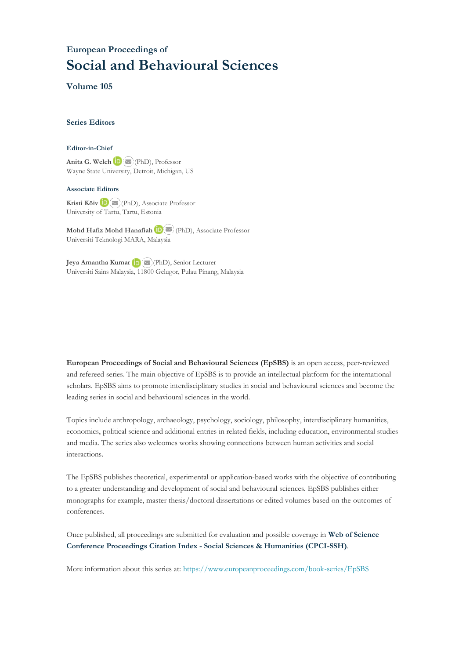# **European Proceedings of Social and Behavioural Sciences**

**Volume 105**

# **Series Editors**

#### **Editor-in-Chief**

**Anita G. Welch** (PhD), Professor Wayne State University, Detroit, Michigan, US

## **Associate Editors**

**Kristi Köiv** (PhD), Associate Professor University of Tartu, Tartu, Estonia

**Mohd Hafiz Mohd Hanafiah**(PhD), Associate Professor Universiti Teknologi MARA, Malaysia

**Jeya Amantha Kumar**(PhD), Senior Lecturer Universiti Sains Malaysia, 1[1800](mailto:amantha@usm.my) Gelugor, Pulau Pinang, Malaysia

**European Proceedings of Social and Behavioural Sciences (EpSBS)** is an open access, peer-reviewed and refereed series. The main objective of EpSBS is to provide an intellectual platform for the international scholars. EpSBS aims to promote interdisciplinary studies in social and behavioural sciences and become the leading series in social and behavioural sciences in the world.

Topics include anthropology, archaeology, psychology, sociology, philosophy, interdisciplinary humanities, economics, political science and additional entries in related fields, including education, environmental studies and media. The series also welcomes works showing connections between human activities and social interactions.

The EpSBS publishes theoretical, experimental or application-based works with the objective of contributing to a greater understanding and development of social and behavioural sciences. EpSBS publishes either monographs for example, master thesis/doctoral dissertations or edited volumes based on the outcomes of conferences.

Once published, all proceedings are submitted for evaluation and possible coverage in **Web of [Science](https://clarivate.com/webofsciencegroup/solutions/webofscience-cpci/) Conference [Proceedings](https://clarivate.com/webofsciencegroup/solutions/webofscience-cpci/) Citation Index - Social Sciences & Humanities (CPCI-SSH)**.

More information about this series at[: https://www.europeanproceedings.com/book-series/EpSBS](https://www.europeanproceedings.com/book-series/EpSBS)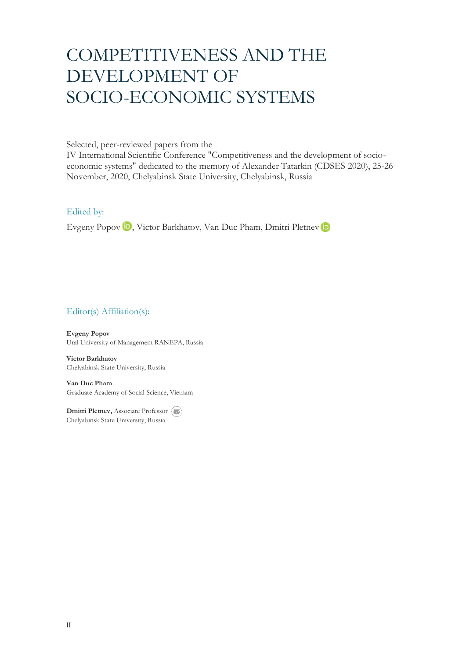# COMPETITIVENESS AND THE DEVELOPMENT OF SOCIO-ECONOMIC SYSTEMS

Selected, peer-reviewed papers from the

IV International Scientific Conference "Competitiveness and the development of socioeconomic systems" dedicated to the memory of Alexander Tatarkin (CDSES 2020), 25-26 November, 2020, Chelyabinsk State University, Chelyabinsk, Russia

# Edited by:

Evgeny Popov <sup>(D</sup>, Victor Barkhatov, Van Duc Pham, Dmitri Pletnev (D

# Editor(s) Affiliation(s):

**Evgeny Popov** Ural University of Management RANEPA, Russia

**Victor Barkhatov** Chelyabinsk State University, Russia

**Van Duc Pham** Graduate Academy of Social Science, Vietnam

**Dmitri Pletnev, Associate Professor** Chelyabinsk State University, Russia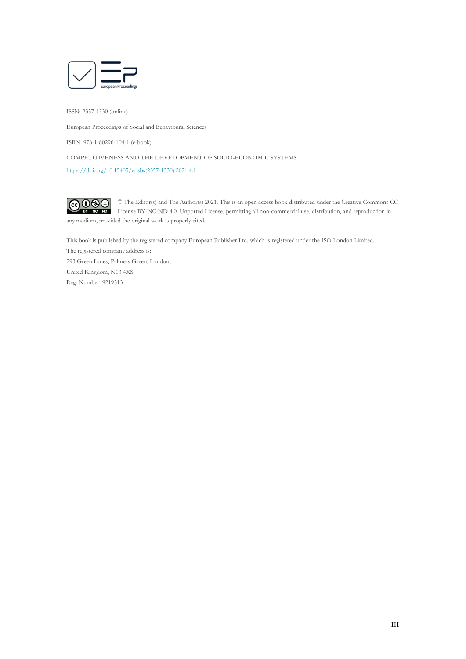

ISSN: 2357-1330 (online)

European Proceedings of Social and Behavioural Sciences

ISBN: 978-1-80296-104-1 (e-book)

COMPETITIVENESS AND THE DEVELOPMENT OF SOCIO-ECONOMIC SYSTEMS

[https://doi.org/10.15405/epsbs\(2357-1330\).2021.4.1](https://doi.org/10.15405/epsbs(2357-1330).2021.4.1)



© The Editor(s) and The Author(s) 2021. This is an open access book distributed under the Creative Commons CC License BY-NC-ND 4.0. Unported License, permitting all non-commercial use, distribution, and reproduction in any medium, provided the original work is properly cited.

This book is published by the registered company European Publisher Ltd. which is registered under the ISO London Limited. The registered company address is: 293 Green Lanes, Palmers Green, London, United Kingdom, N13 4XS Reg. Number: 9219513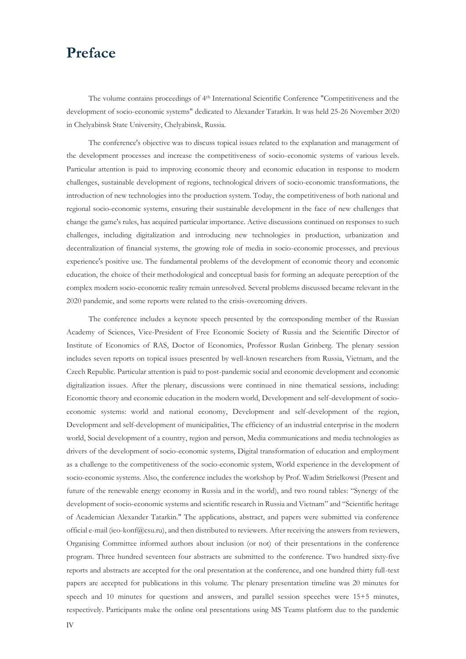# **Preface**

The volume contains proceedings of 4<sup>th</sup> International Scientific Conference "Competitiveness and the development of socio-economic systems" dedicated to Alexander Tatarkin. It was held 25-26 November 2020 in Chelyabinsk State University, Chelyabinsk, Russia.

The conference's objective was to discuss topical issues related to the explanation and management of the development processes and increase the competitiveness of socio-economic systems of various levels. Particular attention is paid to improving economic theory and economic education in response to modern challenges, sustainable development of regions, technological drivers of socio-economic transformations, the introduction of new technologies into the production system. Today, the competitiveness of both national and regional socio-economic systems, ensuring their sustainable development in the face of new challenges that change the game's rules, has acquired particular importance. Active discussions continued on responses to such challenges, including digitalization and introducing new technologies in production, urbanization and decentralization of financial systems, the growing role of media in socio-economic processes, and previous experience's positive use. The fundamental problems of the development of economic theory and economic education, the choice of their methodological and conceptual basis for forming an adequate perception of the complex modern socio-economic reality remain unresolved. Several problems discussed became relevant in the 2020 pandemic, and some reports were related to the crisis-overcoming drivers.

The conference includes a keynote speech presented by the corresponding member of the Russian Academy of Sciences, Vice-President of Free Economic Society of Russia and the Scientific Director of Institute of Economics of RAS, Doctor of Economics, Professor Ruslan Grinberg. The plenary session includes seven reports on topical issues presented by well-known researchers from Russia, Vietnam, and the Czech Republic. Particular attention is paid to post-pandemic social and economic development and economic digitalization issues. After the plenary, discussions were continued in nine thematical sessions, including: Economic theory and economic education in the modern world, Development and self-development of socioeconomic systems: world and national economy, Development and self-development of the region, Development and self-development of municipalities, The efficiency of an industrial enterprise in the modern world, Social development of a country, region and person, Media communications and media technologies as drivers of the development of socio-economic systems, Digital transformation of education and employment as a challenge to the competitiveness of the socio-economic system, World experience in the development of socio-economic systems. Also, the conference includes the workshop by Prof. Wadim Strielkowsi (Present and future of the renewable energy economy in Russia and in the world), and two round tables: "Synergy of the development of socio-economic systems and scientific research in Russia and Vietnam" and "Scientific heritage of Academician Alexander Tatarkin." The applications, abstract, and papers were submitted via conference official e-mail (ieo-konf@csu.ru), and then distributed to reviewers. After receiving the answers from reviewers, Organising Committee informed authors about inclusion (or not) of their presentations in the conference program. Three hundred seventeen four abstracts are submitted to the conference. Two hundred sixty-five reports and abstracts are accepted for the oral presentation at the conference, and one hundred thirty full-text papers are accepted for publications in this volume. The plenary presentation timeline was 20 minutes for speech and 10 minutes for questions and answers, and parallel session speeches were 15+5 minutes, respectively. Participants make the online oral presentations using MS Teams platform due to the pandemic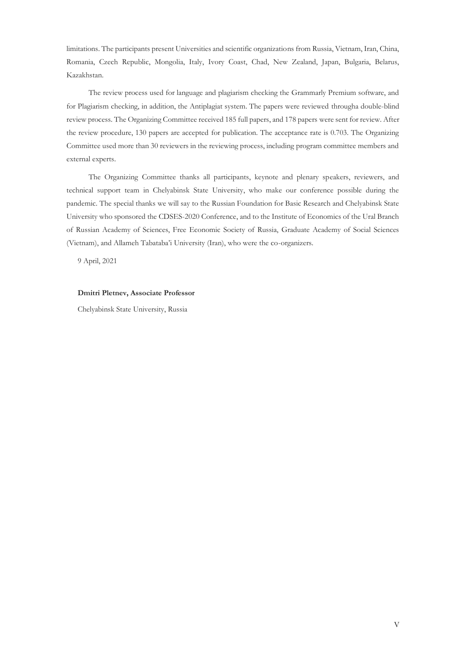limitations. The participants present Universities and scientific organizations from Russia, Vietnam, Iran, China, Romania, Czech Republic, Mongolia, Italy, Ivory Coast, Chad, New Zealand, Japan, Bulgaria, Belarus, Kazakhstan.

The review process used for language and plagiarism checking the Grammarly Premium software, and for Plagiarism checking, in addition, the Antiplagiat system. The papers were reviewed througha double-blind review process. The Organizing Committee received 185 full papers, and 178 papers were sent for review. After the review procedure, 130 papers are accepted for publication. The acceptance rate is 0.703. The Organizing Committee used more than 30 reviewers in the reviewing process, including program committee members and external experts.

The Organizing Committee thanks all participants, keynote and plenary speakers, reviewers, and technical support team in Chelyabinsk State University, who make our conference possible during the pandemic. The special thanks we will say to the Russian Foundation for Basic Research and Chelyabinsk State University who sponsored the CDSES-2020 Conference, and to the Institute of Economics of the Ural Branch of Russian Academy of Sciences, Free Economic Society of Russia, Graduate Academy of Social Sciences (Vietnam), and Allameh Tabataba'i University (Iran), who were the co-organizers.

9 April, 2021

#### **Dmitri Pletnev, Associate Professor**

Chelyabinsk State University, Russia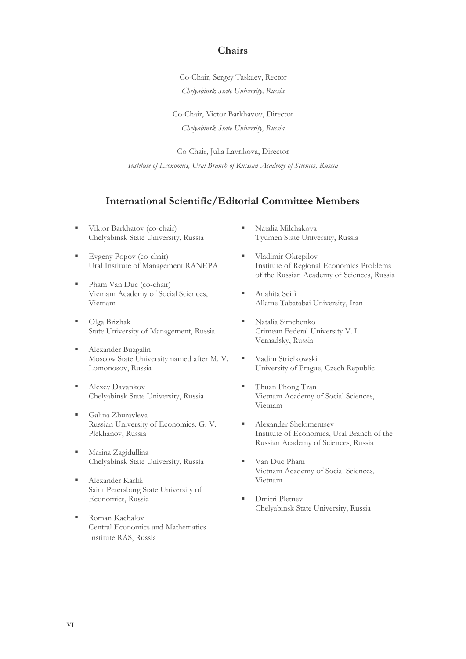# **Chairs**

Co-Chair, Sergey Taskaev, Rector *Chelyabinsk State University, Russia*

Co-Chair, Victor Barkhavov, Director *Chelyabinsk State University, Russia*

Co-Chair, Julia Lavrikova, Director *Institute of Economics, Ural Branch of Russian Academy of Sciences, Russia*

# **International Scientific/Editorial Committee Members**

- Viktor Barkhatov (co-chair) Chelyabinsk State University, Russia
- **Evgeny Popov (co-chair)** Ural Institute of Management RANEPA
- Pham Van Duc (co-chair) Vietnam Academy of Social Sciences, Vietnam
- Olga Brizhak State University of Management, Russia
- Alexander Buzgalin Moscow State University named after M. V. Lomonosov, Russia
- Alexey Davankov Chelyabinsk State University, Russia
- Galina Zhuravleva Russian University of Economics. G. V. Plekhanov, Russia
- Marina Zagidullina Chelyabinsk State University, Russia
- Alexander Karlik Saint Petersburg State University of Economics, Russia
- Roman Kachalov Central Economics and Mathematics Institute RAS, Russia
- Natalia Milchakova Tyumen State University, Russia
- Vladimir Okrepilov Institute of Regional Economics Problems of the Russian Academy of Sciences, Russia
- Anahita Seifi Allame Tabatabai University, Iran
- Natalia Simchenko Crimean Federal University V. I. Vernadsky, Russia
- Vadim Strielkowski University of Prague, Czech Republic
- Thuan Phong Tran Vietnam Academy of Social Sciences, Vietnam
- Alexander Shelomentsev Institute of Economics, Ural Branch of the Russian Academy of Sciences, Russia
- Van Duc Pham Vietnam Academy of Social Sciences, Vietnam
- Dmitri Pletnev Chelyabinsk State University, Russia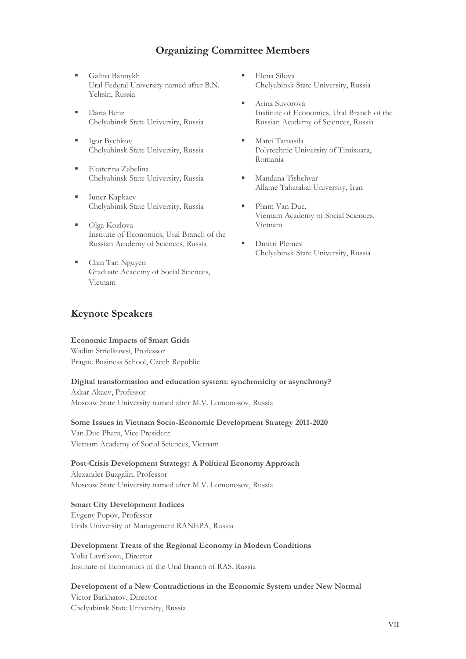# **Organizing Committee Members**

- Galina Bannykh Ural Federal University named after B.N. Yeltsin, Russia
- Daria Benz Chelyabinsk State University, Russia
- Igor Bychkov Chelyabinsk State University, Russia
- Ekaterina Zabelina Chelyabinsk State University, Russia
- Iuner Kapkaev Chelyabinsk State University, Russia
- Olga Kozlova Institute of Economics, Ural Branch of the Russian Academy of Sciences, Russia
- Chin Tan Nguyen Graduate Academy of Social Sciences, Vietnam

# **Keynote Speakers**

# **Economic Impacts of Smart Grids**

Wadim Strielkowsi, Professor Prague Business School, Czech Republic

# **Digital transformation and education system: synchronicity or asynchrony?**

Askar Akaev, Professor Moscow State University named after M.V. Lomonosov, Russia

# **Some Issues in Vietnam Socio-Economic Development Strategy 2011-2020**

Van Duc Pham, Vice President Vietnam Academy of Social Sciences, Vietnam

# **Post-Crisis Development Strategy: A Political Economy Approach**

Alexander Buzgalin, Professor Moscow State University named after M.V. Lomonosov, Russia

# **Smart City Development Indices**

Evgeny Popov, Professor Urals University of Management RANEPA, Russia

# **Development Treats of the Regional Economy in Modern Conditions**

Yulia Lavrikova, Director Institute of Economics of the Ural Branch of RAS, Russia

# **Development of a New Contradictions in the Economic System under New Normal** Victor Barkhatov, Director Chelyabinsk State University, Russia

- Elena Silova Chelyabinsk State University, Russia
- Arina Suvorova Institute of Economics, Ural Branch of the Russian Academy of Sciences, Russia
- Matei Tamasila Polytechnic University of Timisoara, Romania
- Mandana Tishehyar Allame Tabatabai University, Iran
- Pham Van Duc, Vietnam Academy of Social Sciences, Vietnam
- **•** Dmitri Pletnev Chelyabinsk State University, Russia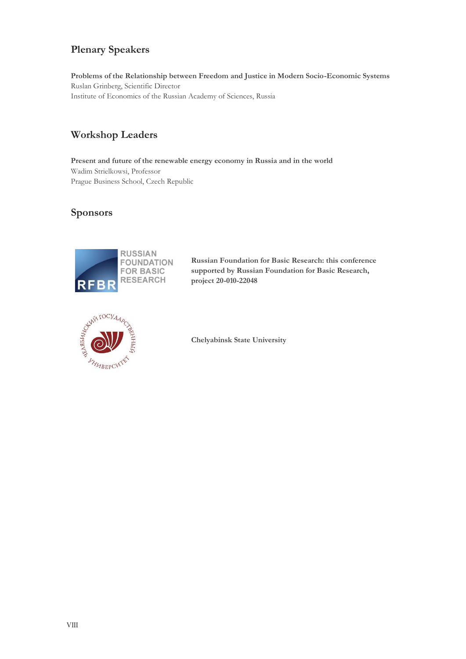# **Plenary Speakers**

**Problems of the Relationship between Freedom and Justice in Modern Socio-Economic Systems** Ruslan Grinberg, Scientific Director Institute of Economics of the Russian Academy of Sciences, Russia

# **Workshop Leaders**

**Present and future of the renewable energy economy in Russia and in the world** Wadim Strielkowsi, Professor Prague Business School, Czech Republic

# **Sponsors**



**Russian Foundation for Basic Research: this conference supported by Russian Foundation for Basic Research, project 20-010-22048**



**Chelyabinsk State University**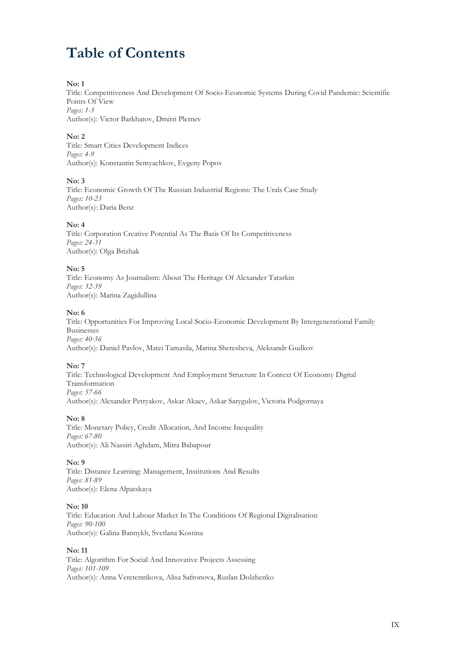# **Table of Contents**

# **No: 1**

Title: Competitiveness And Development Of Socio-Economic Systems During Covid Pandemic: Scientific Points Of View *Pages: 1-3* Author(s): Victor Barkhatov, Dmitri Pletnev

# **No: 2**

Title: Smart Cities Development Indices *Pages: 4-9* Author(s): Konstantin Semyachkov, Evgeny Popov

# **No: 3**

Title: Economic Growth Of The Russian Industrial Regions: The Urals Case Study *Pages: 10-23* Author(s): Daria Benz

# **No: 4**

Title: Corporation Creative Potential As The Basis Of Its Competitiveness *Pages: 24-31* Author(s): Olga Brizhak

# **No: 5**

Title: Economy As Journalism: About The Heritage Of Alexander Tatarkin *Pages: 32-39* Author(s): Marina Zagidullina

# **No: 6**

Title: Opportunities For Improving Local Socio-Economic Development By Intergenerational Family Businesses *Pages: 40-56* Author(s): Daniel Pavlov, Matei Tamasila, Marina Sheresheva, Aleksandr Gudkov

# **No: 7**

Title: Technological Development And Employment Structure In Context Of Economy Digital Transformation *Pages: 57-66* Author(s): Alexander Petryakov, Askar Akaev, Askar Sarygulov, Victoria Podgornaya

# **No: 8**

Title: Monetary Policy, Credit Allocation, And Income Inequality *Pages: 67-80* Author(s): Ali Nassiri Aghdam, Mitra Babapour

# **No: 9**

Title: Distance Learning: Management, Institutions And Results *Pages: 81-89* Author(s): Elena Alpatskaya

# **No: 10**

Title: Education And Labour Market In The Conditions Of Regional Digitalisation *Pages: 90-100* Author(s): Galina Bannykh, Svetlana Kostina

# **No: 11**

Title: Algorithm For Social And Innovative Projects Assessing *Pages: 101-109* Author(s): Anna Veretennikova, Alisa Safronova, Ruslan Dolzhenko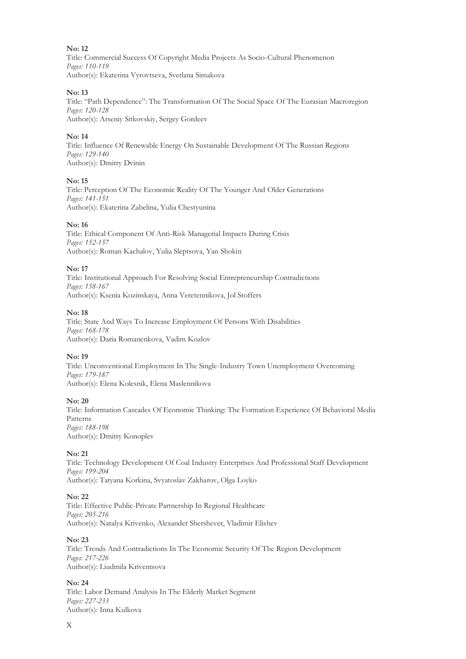Title: Commercial Success Of Copyright Media Projects As Socio-Cultural Phenomenon *Pages: 110-119* Author(s): Ekaterina Vyrovtseva, Svetlana Simakova

## **No: 13**

Title: "Path Dependence": The Transformation Of The Social Space Of The Eurasian Macroregion *Pages: 120-128* Author(s): Arseniy Sitkovskiy, Sergey Gordeev

# **No: 14**

Title: Influence Of Renewable Energy On Sustainable Development Of The Russian Regions *Pages: 129-140* Author(s): Dmitry Dvinin

#### **No: 15**

Title: Perception Of The Economic Reality Of The Younger And Older Generations *Pages: 141-151* Author(s): Ekaterina Zabelina, Yulia Chestyunina

#### **No: 16**

Title: Ethical Component Of Anti-Risk Managerial Impacts During Crisis *Pages: 152-157* Author(s): Roman Kachalov, Yulia Sleptsova, Yan Shokin

#### **No: 17**

Title: Institutional Approach For Resolving Social Entrepreneurship Contradictions *Pages: 158-167* Author(s): Ksenia Kozinskaya, Anna Veretennikova, Jol Stoffers

#### **No: 18**

Title: State And Ways To Increase Employment Of Persons With Disabilities *Pages: 168-178* Author(s): Daria Romanenkova, Vadim Kozlov

# **No: 19**

Title: Unconventional Employment In The Single-Industry Town Unemployment Overcoming *Pages: 179-187* Author(s): Elena Kolesnik, Elena Maslennikova

#### **No: 20**

Title: Information Cascades Of Economic Thinking: The Formation Experience Of Behavioral Media Patterns *Pages: 188-198* Author(s): Dmitry Konoplev

# **No: 21**

Title: Technology Development Of Coal Industry Enterprises And Professional Staff Development *Pages: 199-204* Author(s): Tatyana Korkina, Svyatoslav Zakharov, Olga Loyko

#### **No: 22**

Title: Effective Public-Private Partnership In Regional Healthcare *Pages: 205-216* Author(s): Natalya Krivenko, Alexander Shershever, Vladimir Elishev

#### **No: 23**

Title: Trends And Contradictions In The Economic Security Of The Region Development *Pages: 217-226* Author(s): Liudmila Kriventsova

#### **No: 24**

Title: Labor Demand Analysis In The Elderly Market Segment *Pages: 227-233* Author(s): Inna Kulkova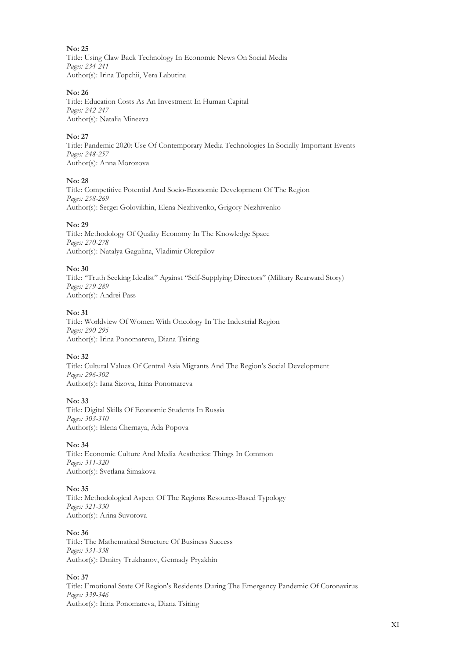Title: Using Claw Back Technology In Economic News On Social Media *Pages: 234-241* Author(s): Irina Topchii, Vera Labutina

## **No: 26**

Title: Education Costs As An Investment In Human Capital *Pages: 242-247* Author(s): Natalia Mineeva

# **No: 27**

Title: Pandemic 2020: Use Of Contemporary Media Technologies In Socially Important Events *Pages: 248-257* Author(s): Anna Morozova

# **No: 28**

Title: Competitive Potential And Socio-Economic Development Of The Region *Pages: 258-269* Author(s): Sergei Golovikhin, Elena Nezhivenko, Grigory Nezhivenko

# **No: 29**

Title: Methodology Of Quality Economy In The Knowledge Space *Pages: 270-278* Author(s): Natalya Gagulina, Vladimir Okrepilov

# **No: 30**

Title: "Truth Seeking Idealist" Against "Self-Supplying Directors" (Military Rearward Story) *Pages: 279-289* Author(s): Andrei Pass

# **No: 31**

Title: Worldview Of Women With Oncology In The Industrial Region *Pages: 290-295* Author(s): Irina Ponomareva, Diana Tsiring

# **No: 32**

Title: Cultural Values Of Central Asia Migrants And The Region's Social Development *Pages: 296-302* Author(s): Iana Sizova, Irina Ponomareva

# **No: 33**

Title: Digital Skills Of Economic Students In Russia *Pages: 303-310* Author(s): Elena Chernaya, Ada Popova

# **No: 34**

Title: Economic Culture And Media Aesthetics: Things In Common *Pages: 311-320* Author(s): Svetlana Simakova

# **No: 35**

Title: Methodological Aspect Of The Regions Resource-Based Typology *Pages: 321-330* Author(s): Arina Suvorova

# **No: 36**

Title: The Mathematical Structure Of Business Success *Pages: 331-338* Author(s): Dmitry Trukhanov, Gennady Pryakhin

# **No: 37**

Title: Emotional State Of Region's Residents During The Emergency Pandemic Of Coronavirus *Pages: 339-346* Author(s): Irina Ponomareva, Diana Tsiring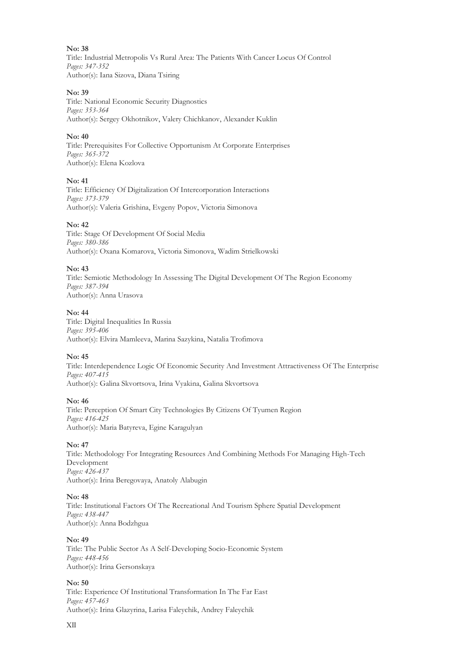Title: Industrial Metropolis Vs Rural Area: The Patients With Cancer Locus Of Control *Pages: 347-352* Author(s): Iana Sizova, Diana Tsiring

#### **No: 39**

Title: National Economic Security Diagnostics *Pages: 353-364* Author(s): Sergey Okhotnikov, Valery Chichkanov, Alexander Kuklin

## **No: 40**

Title: Prerequisites For Collective Opportunism At Corporate Enterprises *Pages: 365-372* Author(s): Elena Kozlova

#### **No: 41**

Title: Efficiency Of Digitalization Of Intercorporation Interactions *Pages: 373-379* Author(s): Valeria Grishina, Evgeny Popov, Victoria Simonova

#### **No: 42**

Title: Stage Of Development Of Social Media *Pages: 380-386* Author(s): Oxana Komarova, Victoria Simonova, Wadim Strielkowski

#### **No: 43**

Title: Semiotic Methodology In Assessing The Digital Development Of The Region Economy *Pages: 387-394* Author(s): Anna Urasova

## **No: 44**

Title: Digital Inequalities In Russia *Pages: 395-406* Author(s): Elvira Mamleeva, Marina Sazykina, Natalia Trofimova

# **No: 45**

Title: Interdependence Logic Of Economic Security And Investment Attractiveness Of The Enterprise *Pages: 407-415* Author(s): Galina Skvortsova, Irina Vyakina, Galina Skvortsova

#### **No: 46**

Title: Perception Of Smart City Technologies By Citizens Of Tyumen Region *Pages: 416-425* Author(s): Maria Batyreva, Egine Karagulyan

#### **No: 47**

Title: Methodology For Integrating Resources And Combining Methods For Managing High-Tech Development *Pages: 426-437* Author(s): Irina Beregovaya, Anatoly Alabugin

#### **No: 48**

Title: Institutional Factors Of The Recreational And Tourism Sphere Spatial Development *Pages: 438-447* Author(s): Anna Bodzhgua

#### **No: 49**

Title: The Public Sector As A Self-Developing Socio-Economic System *Pages: 448-456* Author(s): Irina Gersonskaya

#### **No: 50**

Title: Experience Of Institutional Transformation In The Far East *Pages: 457-463* Author(s): Irina Glazyrina, Larisa Faleychik, Andrey Faleychik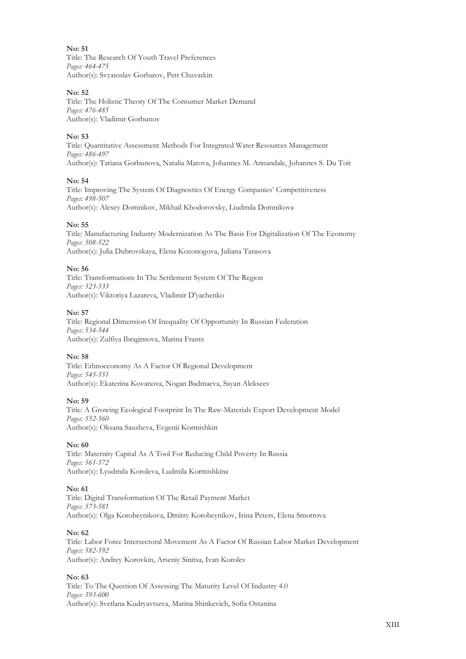Title: The Research Of Youth Travel Preferences *Pages: 464-475* Author(s): Svyatoslav Gorbatov, Petr Chuvatkin

## **No: 52**

Title: The Holistic Theory Of The Consumer Market Demand *Pages: 476-485* Author(s): Vladimir Gorbunov

# **No: 53**

Title: Quantitative Assessment Methods For Integrated Water Resources Management *Pages: 486-497* Author(s): Tatiana Gorbunova, Natalia Matova, Johannes M. Annandale, Johannes S. Du Toit

#### **No: 54**

Title: Improving The System Of Diagnostics Of Energy Companies' Competitiveness *Pages: 498-507* Author(s): Alexey Domnikov, Mikhail Khodorovsky, Liudmila Domnikova

# **No: 55**

Title: Manufacturing Industry Modernization As The Basis For Digitalization Of The Economy *Pages: 508-522* Author(s): Julia Dubrovskaya, Elena Kozonogova, Juliana Tarasova

#### **No: 56**

Title: Transformations In The Settlement System Of The Region *Pages: 523-533* Author(s): Viktoriya Lazareva, Vladimir D'yachenko

#### **No: 57**

Title: Regional Dimension Of Inequality Of Opportunity In Russian Federation *Pages: 534-544* Author(s): Zulfiya Ibragimova, Marina Frants

# **No: 58**

Title: Ethnoeconomy As A Factor Of Regional Development *Pages: 545-551* Author(s): Ekaterina Kovanova, Nogan Badmaeva, Sayan Alekseev

#### **No: 59**

Title: A Growing Ecological Footprint In The Raw-Materials Export Development Model *Pages: 552-560* Author(s): Oksana Sausheva, Evgenii Kormishkin

# **No: 60**

Title: Maternity Capital As A Tool For Reducing Child Poverty In Russia *Pages: 561-572* Author(s): Lyudmila Koroleva, Ludmila Kormishkina

# **No: 61**

Title: Digital Transformation Of The Retail Payment Market *Pages: 573-581* Author(s): Olga Korobeynikova, Dmitry Korobeynikov, Irina Peters, Elena Smotrova

#### **No: 62**

Title: Labor Force Intersectoral Movement As A Factor Of Russian Labor Market Development *Pages: 582-592* Author(s): Andrey Korovkin, Arseniy Sinitsa, Ivan Korolev

# **No: 63**

Title: To The Question Of Assessing The Maturity Level Of Industry 4.0 *Pages: 593-600* Author(s): Svetlana Kudryavtseva, Marina Shinkevich, Sofia Ostanina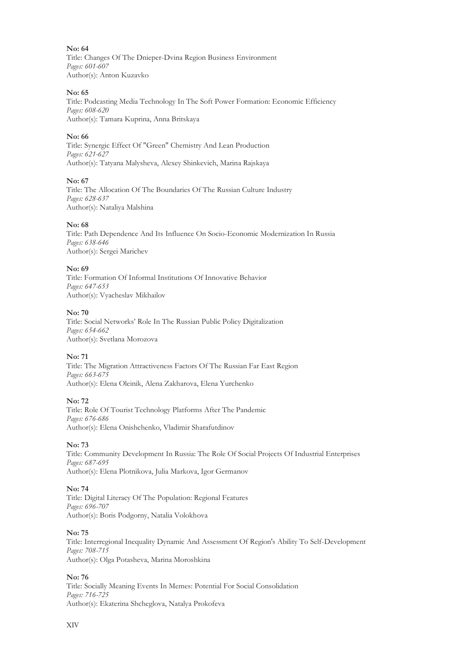**No: 64** Title: Changes Of The Dnieper-Dvina Region Business Environment *Pages: 601-607* Author(s): Anton Kuzavko

## **No: 65**

Title: Podсasting Media Technology In The Soft Power Formation: Economic Efficiency *Pages: 608-620* Author(s): Tamara Kuprina, Anna Britskaya

## **No: 66**

Title: Synergic Effect Of "Green" Chemistry And Lean Production *Pages: 621-627* Author(s): Tatyana Malysheva, Alexey Shinkevich, Marina Rajskaya

#### **No: 67**

Title: The Allocation Of The Boundaries Of The Russian Culture Industry *Pages: 628-637* Author(s): Nataliya Malshina

## **No: 68**

Title: Path Dependence And Its Influence On Socio-Economic Modernization In Russia *Pages: 638-646* Author(s): Sergei Marichev

#### **No: 69**

Title: Formation Of Informal Institutions Of Innovative Behavior *Pages: 647-653* Author(s): Vyacheslav Mikhailov

#### **No: 70**

Title: Social Networks' Role In The Russian Public Policy Digitalization *Pages: 654-662* Author(s): Svetlana Morozova

# **No: 71**

Title: The Migration Attractiveness Factors Of The Russian Far East Region *Pages: 663-675* Author(s): Elena Oleinik, Alena Zakharova, Elena Yurchenko

#### **No: 72**

Title: Role Of Tourist Technology Platforms After The Pandemic *Pages: 676-686* Author(s): Elena Onishchenko, Vladimir Sharafutdinov

#### **No: 73**

Title: Community Development In Russia: The Role Of Social Projects Of Industrial Enterprises *Pages: 687-695* Author(s): Elena Plotnikova, Julia Markova, Igor Germanov

#### **No: 74**

Title: Digital Literacy Of The Population: Regional Features *Pages: 696-707* Author(s): Boris Podgorny, Natalia Volokhova

#### **No: 75**

Title: Interregional Inequality Dynamic And Assessment Of Region's Ability To Self-Development *Pages: 708-715* Author(s): Olga Potasheva, Marina Moroshkina

# **No: 76**

Title: Socially Meaning Events In Memes: Potential For Social Consolidation *Pages: 716-725* Author(s): Ekaterina Shcheglova, Natalya Prokofeva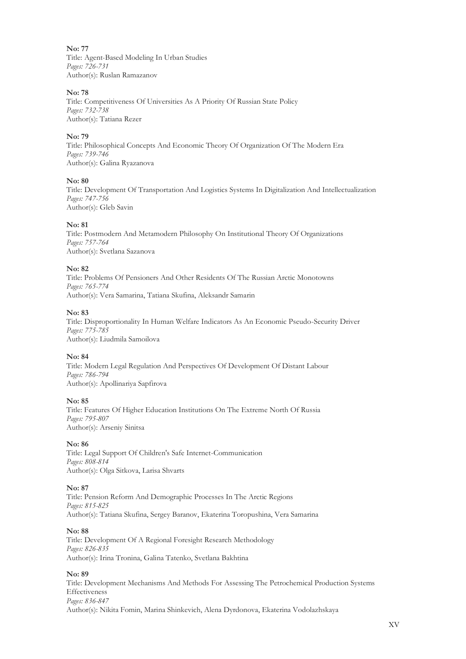**No: 77** Title: Agent-Based Modeling In Urban Studies *Pages: 726-731* Author(s): Ruslan Ramazanov

## **No: 78**

Title: Competitiveness Of Universities As A Priority Of Russian State Policy *Pages: 732-738* Author(s): Tatiana Rezer

## **No: 79**

Title: Philosophical Concepts And Economic Theory Of Organization Of The Modern Era *Pages: 739-746* Author(s): Galina Ryazanova

#### **No: 80**

Title: Development Of Transportation And Logistics Systems In Digitalization And Intellectualization *Pages: 747-756* Author(s): Gleb Savin

#### **No: 81**

Title: Postmodern And Metamodern Philosophy On Institutional Theory Of Organizations *Pages: 757-764* Author(s): Svetlana Sazanova

#### **No: 82**

Title: Problems Of Pensioners And Other Residents Of The Russian Arctic Monotowns *Pages: 765-774* Author(s): Vera Samarina, Tatiana Skufina, Aleksandr Samarin

#### **No: 83**

Title: Disproportionality In Human Welfare Indicators As An Economic Pseudo-Security Driver *Pages: 775-785* Author(s): Liudmila Samoilova

# **No: 84**

Title: Modern Legal Regulation And Perspectives Of Development Of Distant Labour *Pages: 786-794* Author(s): Apollinariya Sapfirova

#### **No: 85**

Title: Features Of Higher Education Institutions On The Extreme North Of Russia *Pages: 795-807* Author(s): Arseniy Sinitsa

# **No: 86**

Title: Legal Support Of Children's Safe Internet-Communication *Pages: 808-814* Author(s): Olga Sitkova, Larisa Shvarts

#### **No: 87**

Title: Pension Reform And Demographic Processes In The Arctic Regions *Pages: 815-825* Author(s): Tatiana Skufina, Sergey Baranov, Ekaterina Toropushina, Vera Samarina

#### **No: 88**

Title: Development Of A Regional Foresight Research Methodology *Pages: 826-835* Author(s): Irina Tronina, Galina Tatenko, Svetlana Bakhtina

# **No: 89**

Title: Development Mechanisms And Methods For Assessing The Petrochemical Production Systems Effectiveness *Pages: 836-847* Author(s): Nikita Fomin, Marina Shinkevich, Alena Dyrdonova, Ekaterina Vodolazhskaya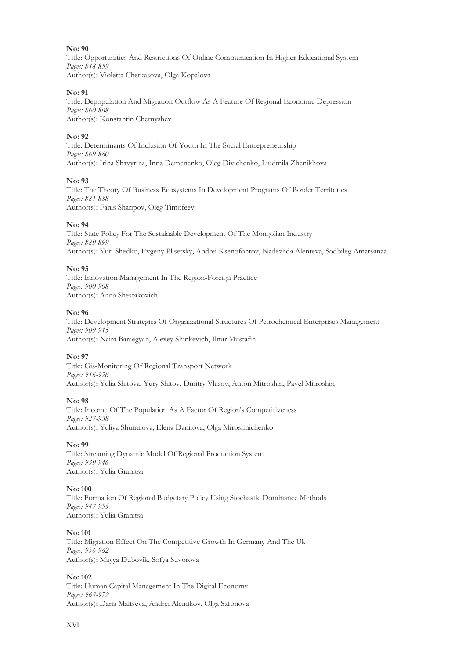Title: Opportunities And Restrictions Of Online Communication In Higher Educational System *Pages: 848-859* Author(s): Violetta Cherkasova, Olga Kopalova

#### **No: 91**

Title: Depopulation And Migration Outflow As A Feature Of Regional Economic Depression *Pages: 860-868* Author(s): Konstantin Chernyshev

#### **No: 92**

Title: Determinants Of Inclusion Of Youth In The Social Entrepreneurship *Pages: 869-880* Author(s): Irina Shavyrina, Inna Demenenko, Oleg Divichenko, Liudmila Zhenikhova

#### **No: 93**

Title: The Theory Of Business Ecosystems In Development Programs Of Border Territories *Pages: 881-888* Author(s): Fanis Sharipov, Oleg Timofeev

#### **No: 94**

Title: State Policy For The Sustainable Development Of The Mongolian Industry *Pages: 889-899* Author(s): Yuri Shedko, Evgeny Plisetsky, Andrei Ksenofontov, Nadezhda Alenteva, Sodbileg Amarsanaa

#### **No: 95**

Title: Innovation Management In The Region-Foreign Practice *Pages: 900-908* Author(s): Anna Shestakovich

#### **No: 96**

Title: Development Strategies Of Organizational Structures Of Petrochemical Enterprises Management *Pages: 909-915* Author(s): Naira Barsegyan, Alexey Shinkevich, Ilnur Mustafin

# **No: 97**

Title: Gis-Monitoring Of Regional Transport Network *Pages: 916-926* Author(s): Yulia Shitova, Yury Shitov, Dmitry Vlasov, Anton Mitroshin, Pavel Mitroshin

#### **No: 98**

Title: Income Of The Population As A Factor Of Region's Competitiveness *Pages: 927-938* Author(s): Yuliya Shumilova, Elena Danilova, Olga Miroshnichenko

#### **No: 99**

Title: Streaming Dynamic Model Of Regional Production System *Pages: 939-946* Author(s): Yulia Granitsa

#### **No: 100**

Title: Formation Of Regional Budgetary Policy Using Stochastic Dominance Methods *Pages: 947-955* Author(s): Yulia Granitsa

#### **No: 101**

Title: Migration Effect On The Competitive Growth In Germany And The Uk *Pages: 956-962* Author(s): Mayya Dubovik, Sofya Suvorova

# **No: 102**

Title: Human Capital Management In The Digital Economy *Pages: 963-972* Author(s): Daria Maltseva, Andrei Aleinikov, Olga Safonova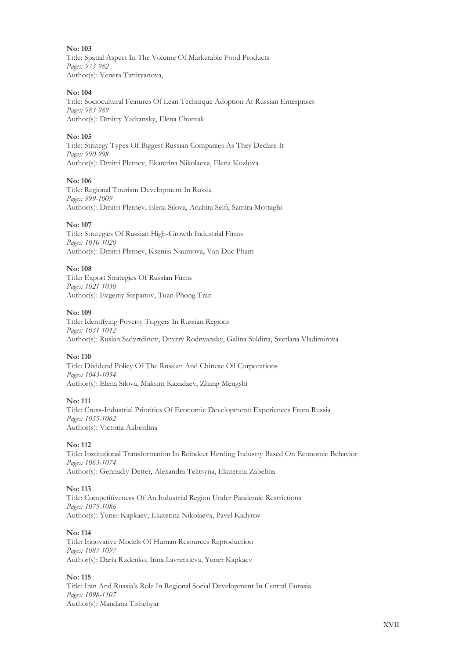**No: 103** Title: Spatial Aspect In The Volume Of Marketable Food Products *Pages: 973-982* Author(s): Venera Timiryanova,

#### **No: 104**

Title: Sociocultural Features Of Lean Technique Adoption At Russian Enterprises *Pages: 983-989* Author(s): Dmitry Yadransky, Elena Chumak

#### **No: 105**

Title: Strategy Types Of Biggest Russian Companies As They Declare It *Pages: 990-998* Author(s): Dmitri Pletnev, Ekaterina Nikolaeva, Elena Kozlova

#### **No: 106**

Title: Regional Tourism Development In Russia *Pages: 999-1009* Author(s): Dmitri Pletnev, Elena Silova, Anahita Seifi, Samira Mottaghi

#### **No: 107**

Title: Strategies Of Russian High-Growth Industrial Firms *Pages: 1010-1020* Author(s): Dmitri Pletnev, Kseniia Naumova, Van Duc Pham

#### **No: 108**

Title: Export Strategies Of Russian Firms *Pages: 1021-1030* Author(s): Evgeniy Stepanov, Tuan Phong Tran

#### **No: 109**

Title: Identifying Poverty Triggers In Russian Regions *Pages: 1031-1042* Author(s): Ruslan Sadyrtdinov, Dmitry Rodnyansky, Galina Suldina, Svetlana Vladimirova

# **No: 110**

Title: Dividend Policy Of The Russian And Chinese Oil Corporations *Pages: 1043-1054* Author(s): Elena Silova, Maksim Kazadaev, Zhang Mengshi

#### **No: 111**

Title: Cross-Industrial Priorities Of Economic Development: Experiences From Russia *Pages: 1055-1062* Author(s): Victoria Akberdina

# **No: 112**

Title: Institutional Transformation In Reindeer Herding Industry Based On Economic Behavior *Pages: 1063-1074* Author(s): Gennadiy Detter, Alexandra Telitsyna, Ekaterina Zabelina

#### **No: 113**

Title: Competitiveness Of An Industrial Region Under Pandemic Restrictions *Pages: 1075-1086* Author(s): Yuner Kapkaev, Ekaterina Nikolaeva, Pavel Kadyrov

# **No: 114**

Title: Innovative Models Of Human Resources Reproduction *Pages: 1087-1097* Author(s): Daria Rudenko, Irina Lavrentieva, Yuner Kapkaev

# **No: 115**

Title: Iran And Russia's Role In Regional Social Development In Central Eurasia *Pages: 1098-1107* Author(s): Mandana Tishehyar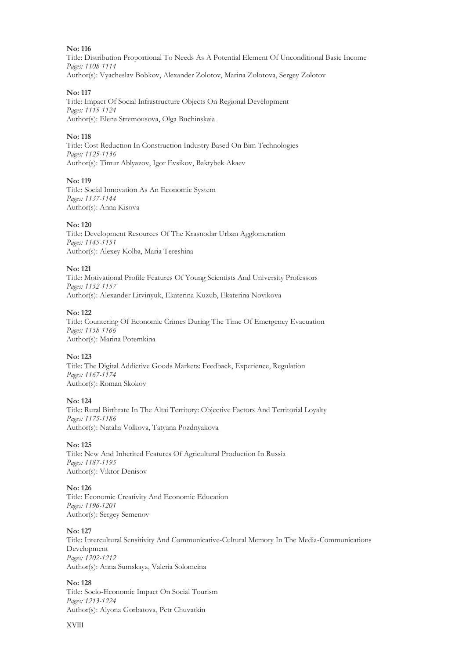Title: Distribution Proportional To Needs As A Potential Element Of Unconditional Basic Income *Pages: 1108-1114* Author(s): Vyacheslav Bobkov, Alexander Zolotov, Marina Zolotova, Sergey Zolotov

## **No: 117**

Title: Impact Of Social Infrastructure Objects On Regional Development *Pages: 1115-1124* Author(s): Elena Stremousova, Olga Buchinskaia

# **No: 118**

Title: Cost Reduction In Construction Industry Based On Bim Technologies *Pages: 1125-1136* Author(s): Timur Ablyazov, Igor Evsikov, Baktybek Akaev

#### **No: 119**

Title: Social Innovation As An Economic System *Pages: 1137-1144* Author(s): Anna Kisova

#### **No: 120**

Title: Development Resources Of The Krasnodar Urban Agglomeration *Pages: 1145-1151* Author(s): Alexey Kolba, Maria Tereshina

#### **No: 121**

Title: Motivational Profile Features Of Young Scientists And University Professors *Pages: 1152-1157* Author(s): Alexander Litvinyuk, Ekaterina Kuzub, Ekaterina Novikova

#### **No: 122**

Title: Countering Of Economic Crimes During The Time Of Emergency Evacuation *Pages: 1158-1166* Author(s): Marina Potemkina

# **No: 123**

Title: The Digital Addictive Goods Markets: Feedback, Experience, Regulation *Pages: 1167-1174* Author(s): Roman Skokov

#### **No: 124**

Title: Rural Birthrate In The Altai Territory: Objective Factors And Territorial Loyalty *Pages: 1175-1186* Author(s): Natalia Volkova, Tatyana Pozdnyakova

#### **No: 125**

Title: New And Inherited Features Of Agricultural Production In Russia *Pages: 1187-1195* Author(s): Viktor Denisov

# **No: 126**

Title: Economic Creativity And Economic Education *Pages: 1196-1201* Author(s): Sergey Semenov

#### **No: 127**

Title: Intercultural Sensitivity And Communicative-Cultural Memory In The Media-Communications Development *Pages: 1202-1212* Author(s): Anna Sumskaya, Valeria Solomeina

#### **No: 128**

Title: Socio-Economic Impact On Social Tourism *Pages: 1213-1224* Author(s): Alyona Gorbatova, Petr Chuvatkin